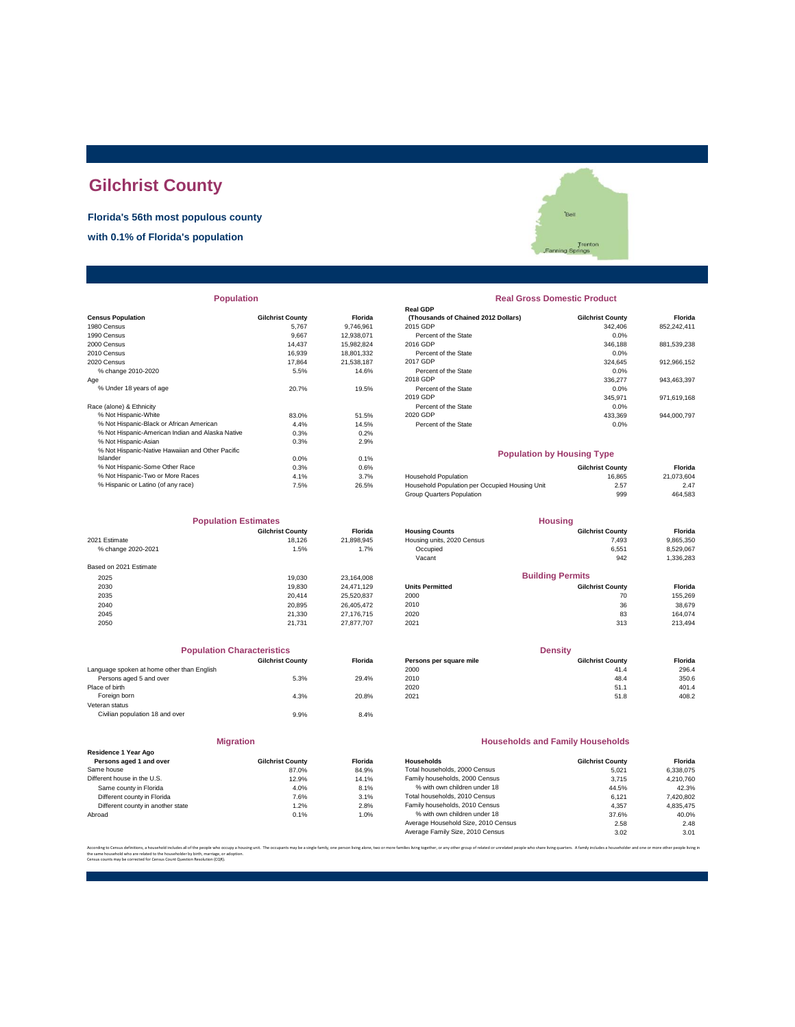# **Gilchrist County**

**Florida's 56th most populous county**

**with 0.1% of Florida's population**

|                                                  |                         |            | <b>Real GDP</b>                                |                         |             |
|--------------------------------------------------|-------------------------|------------|------------------------------------------------|-------------------------|-------------|
| <b>Census Population</b>                         | <b>Gilchrist County</b> | Florida    | (Thousands of Chained 2012 Dollars)            | <b>Gilchrist County</b> | Florida     |
| 1980 Census                                      | 5.767                   | 9.746.961  | 2015 GDP                                       | 342.406                 | 852,242,411 |
| 1990 Census                                      | 9.667                   | 12,938,071 | Percent of the State                           | 0.0%                    |             |
| 2000 Census                                      | 14,437                  | 15,982,824 | 2016 GDP                                       | 346,188                 | 881,539,238 |
| 2010 Census                                      | 16.939                  | 18,801,332 | Percent of the State                           | 0.0%                    |             |
| 2020 Census                                      | 17.864                  | 21.538.187 | 2017 GDP                                       | 324,645                 | 912,966,152 |
| % change 2010-2020                               | 5.5%                    | 14.6%      | Percent of the State                           | 0.0%                    |             |
| Age                                              |                         |            | 2018 GDP                                       | 336,277                 | 943,463,397 |
| % Under 18 years of age                          | 20.7%                   | 19.5%      | Percent of the State                           | 0.0%                    |             |
|                                                  |                         |            | 2019 GDP                                       | 345.971                 | 971.619.168 |
| Race (alone) & Ethnicity                         |                         |            | Percent of the State                           | 0.0%                    |             |
| % Not Hispanic-White                             | 83.0%                   | 51.5%      | 2020 GDP                                       | 433,369                 | 944,000,797 |
| % Not Hispanic-Black or African American         | 4.4%                    | 14.5%      | Percent of the State                           | 0.0%                    |             |
| % Not Hispanic-American Indian and Alaska Native | 0.3%                    | 0.2%       |                                                |                         |             |
| % Not Hispanic-Asian                             | 0.3%                    | 2.9%       |                                                |                         |             |
| % Not Hispanic-Native Hawaiian and Other Pacific |                         |            | <b>Population by Housing Type</b>              |                         |             |
| Islander                                         | 0.0%                    | 0.1%       |                                                |                         |             |
| % Not Hispanic-Some Other Race                   | 0.3%                    | 0.6%       |                                                | <b>Gilchrist County</b> | Florida     |
| % Not Hispanic-Two or More Races                 | 4.1%                    | 3.7%       | <b>Household Population</b>                    | 16.865                  | 21,073,604  |
| % Hispanic or Latino (of any race)               | 7.5%                    | 26.5%      | Household Population per Occupied Housing Unit | 2.57                    | 2.47        |
|                                                  |                         |            |                                                |                         |             |

| <b>Population Estimates</b> |                         |                | <b>Housing</b>             |                         |           |
|-----------------------------|-------------------------|----------------|----------------------------|-------------------------|-----------|
|                             | <b>Gilchrist County</b> | <b>Florida</b> | <b>Housing Counts</b>      | <b>Gilchrist County</b> | Florida   |
| 2021 Estimate               | 18.126                  | 21,898,945     | Housing units, 2020 Census | 7,493                   | 9,865,350 |
| % change 2020-2021          | 1.5%                    | 1.7%           | Occupied                   | 6,551                   | 8,529,067 |
|                             |                         |                | Vacant                     | 942                     | 1,336,283 |
| Based on 2021 Estimate      |                         |                |                            |                         |           |
| 2025                        | 19.030                  | 23,164,008     |                            | <b>Building Permits</b> |           |
| 2030                        | 19,830                  | 24.471.129     | <b>Units Permitted</b>     | <b>Gilchrist County</b> | Florida   |
| 2035                        | 20.414                  | 25,520,837     | 2000                       | 70                      | 155,269   |
| 2040                        | 20.895                  | 26.405.472     | 2010                       | 36                      | 38,679    |
| 2045                        | 21.330                  | 27,176,715     | 2020                       | 83                      | 164.074   |
| 2050                        | 21.731                  | 27,877,707     | 2021                       | 313                     | 213,494   |

|                                            | <b>Population Characteristics</b> |                |
|--------------------------------------------|-----------------------------------|----------------|
|                                            | <b>Gilchrist County</b>           | <b>Florida</b> |
| Language spoken at home other than English |                                   |                |
| Persons aged 5 and over                    | 5.3%                              | 29.4%          |
| Place of birth                             |                                   |                |
| Foreign born                               | 4.3%                              | 20.8%          |
| Veteran status                             |                                   |                |
| Civilian population 18 and over            | 9.9%                              | 8.4%           |
|                                            |                                   |                |

|                                                 | <b>Migration</b>        |               |  |
|-------------------------------------------------|-------------------------|---------------|--|
| Residence 1 Year Ago<br>Persons aged 1 and over | <b>Gilchrist County</b> | <b>Florid</b> |  |
| Same house                                      | 87.0%                   | 84.9          |  |
| Different house in the U.S.                     | 12.9%                   | 14.1          |  |
| Same county in Florida                          | 4.0%                    | 8.1           |  |
| Different county in Florida                     | 7.6%                    | 3.1           |  |
| Different county in another state               | 1.20%                   | 28            |  |

'Bell Trenton<br>Ing Springs

# **Population Real Gross Domestic Product**

| sus Population                                   | <b>Gilchrist County</b> | <b>Florida</b> | (Thousands of Chained 2012 Dollars) | <b>Gilchrist County</b> | <b>Florida</b> |
|--------------------------------------------------|-------------------------|----------------|-------------------------------------|-------------------------|----------------|
| 0 Census                                         | 5.767                   | 9.746.961      | 2015 GDP                            | 342,406                 | 852.242.411    |
| 0 Census                                         | 9.667                   | 12.938.071     | Percent of the State                | $0.0\%$                 |                |
| 0 Census                                         | 14.437                  | 15.982.824     | 2016 GDP                            | 346,188                 | 881.539.238    |
| 0 Census                                         | 16.939                  | 18.801.332     | Percent of the State                | 0.0%                    |                |
| 0 Census                                         | 17.864                  | 21.538.187     | 2017 GDP                            | 324.645                 | 912.966.152    |
| % change 2010-2020                               | 5.5%                    | 14.6%          | Percent of the State                | 0.0%                    |                |
|                                                  |                         |                | 2018 GDP                            | 336,277                 | 943.463.397    |
| % Under 18 vears of age                          | 20.7%                   | 19.5%          | Percent of the State                | 0.0%                    |                |
|                                                  |                         |                | 2019 GDP                            | 345.971                 | 971.619.168    |
| e (alone) & Ethnicity                            |                         |                | Percent of the State                | 0.0%                    |                |
| % Not Hispanic-White                             | 83.0%                   | 51.5%          | 2020 GDP                            | 433.369                 | 944.000.797    |
| % Not Hispanic-Black or African American         | 4.4%                    | 14.5%          | Percent of the State                | 0.0%                    |                |
| % Not Hienanic-American Indian and Alaska Native | O 20/                   | 0.2%           |                                     |                         |                |

#### **Population by Housing Type**

| 0.3% | 0.6%  |                                                | <b>Gilchrist County</b> | Florida    |
|------|-------|------------------------------------------------|-------------------------|------------|
| 4.1% | 3.7%  | <b>Household Population</b>                    | 16.865                  | 21.073.604 |
| 7.5% | 26.5% | Household Population per Occupied Housing Unit | 2.57                    | 2.47       |
|      |       | Group Quarters Population                      | 999                     | 464.583    |
|      |       |                                                |                         |            |

| <b>Population Estimates</b> |                         | <b>Housing</b> |                            |                         |                |
|-----------------------------|-------------------------|----------------|----------------------------|-------------------------|----------------|
|                             | <b>Gilchrist County</b> | <b>Florida</b> | <b>Housing Counts</b>      | <b>Gilchrist County</b> | <b>Florida</b> |
| 2021 Estimate               | 18.126                  | 21.898.945     | Housing units, 2020 Census | 7,493                   | 9,865,350      |
| % change 2020-2021          | 1.5%                    | 1.7%           | Occupied                   | 6,551                   | 8,529,067      |
|                             |                         |                | Vacant                     | 942                     | 1,336,283      |
| Based on 2021 Estimate      |                         |                |                            |                         |                |
| 2025                        | 19.030                  | 23.164.008     |                            | <b>Building Permits</b> |                |
| 2030                        | 19,830                  | 24.471.129     | <b>Units Permitted</b>     | <b>Gilchrist County</b> | <b>Florida</b> |
| 2035                        | 20.414                  | 25.520.837     | 2000                       | 70                      | 155,269        |
| 2040                        | 20.895                  | 26.405.472     | 2010                       | 36                      | 38.679         |
| 2045                        | 21.330                  | 27.176.715     | 2020                       | 83                      | 164.074        |
|                             |                         |                |                            |                         |                |

| <b>Population Characteristics</b>          |                         |                | <b>Density</b>          |                         |         |
|--------------------------------------------|-------------------------|----------------|-------------------------|-------------------------|---------|
|                                            | <b>Gilchrist County</b> | <b>Florida</b> | Persons per square mile | <b>Gilchrist County</b> | Florida |
| Language spoken at home other than English |                         |                | 2000                    | 41.4                    | 296.4   |
| Persons aged 5 and over                    | 5.3%                    | 29.4%          | 2010                    | 48.4                    | 350.6   |
| Place of birth                             |                         |                | 2020                    | 51.1                    | 401.4   |
| Foreign born                               | 4.3%                    | 20.8%          | 2021                    | 51.8                    | 408.2   |

#### **Households and Family Households**

| <b>Gilchrist County</b> | <b>Florida</b> | Households                          | <b>Gilchrist County</b> | Florida   |
|-------------------------|----------------|-------------------------------------|-------------------------|-----------|
| 87.0%                   | 84.9%          | Total households, 2000 Census       | 5.021                   | 6.338.075 |
| 12.9%                   | 14.1%          | Family households, 2000 Census      | 3.715                   | 4.210.760 |
| 4.0%                    | 8.1%           | % with own children under 18        | 44.5%                   | 42.3%     |
| 7.6%                    | 3.1%           | Total households, 2010 Census       | 6.121                   | 7,420,802 |
| 1.2%                    | 2.8%           | Family households, 2010 Census      | 4.357                   | 4.835.475 |
| 0.1%                    | 1.0%           | % with own children under 18        | 37.6%                   | 40.0%     |
|                         |                | Average Household Size, 2010 Census | 2.58                    | 2.48      |
|                         |                | Average Family Size, 2010 Census    | 3.02                    | 3.01      |
|                         |                |                                     |                         |           |

.<br>In families living together, or any other group of related or unrelated people who share living quarters. A family includes a householder and one or more other pe

the same household who are related to the householder by birth, marriage, or adoption. Census counts may be corrected for Census Count Question Resolution (CQR).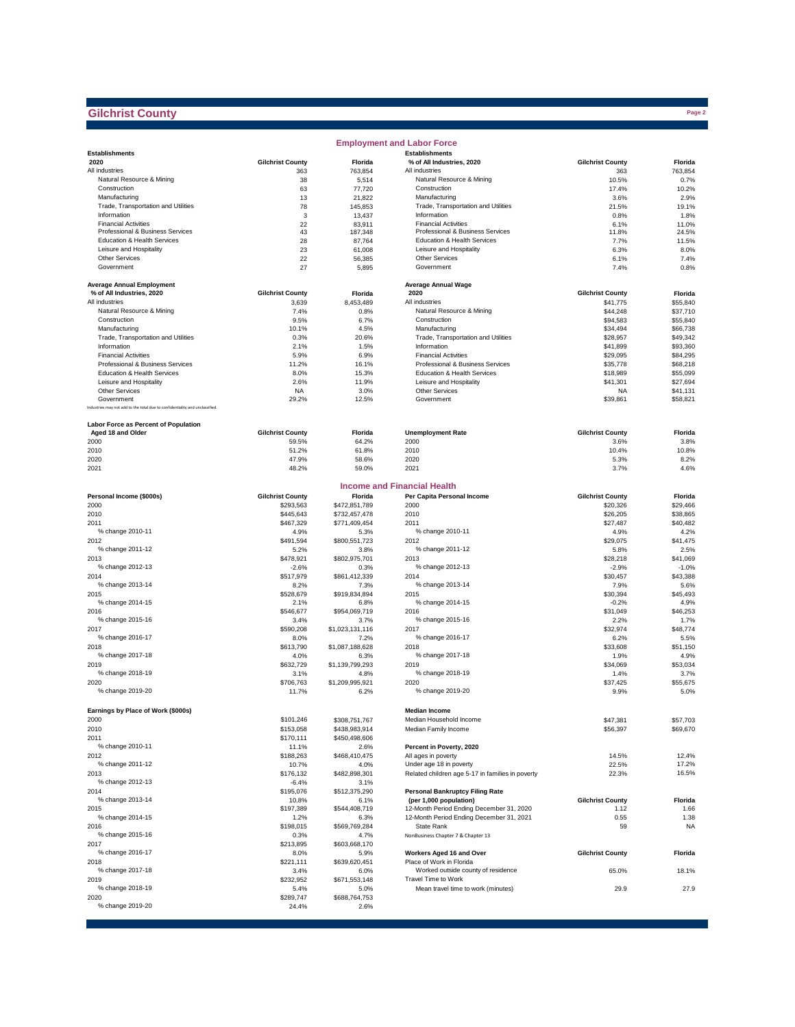## **Gilchrist County**

|                                                                              |                         |                         | <b>Employment and Labor Force</b>                                           |                         |                  |
|------------------------------------------------------------------------------|-------------------------|-------------------------|-----------------------------------------------------------------------------|-------------------------|------------------|
| <b>Establishments</b>                                                        |                         |                         | <b>Establishments</b>                                                       |                         |                  |
| 2020                                                                         | <b>Gilchrist County</b> | Florida                 | % of All Industries, 2020                                                   | <b>Gilchrist County</b> | Florida          |
| All industries                                                               | 363                     | 763,854                 | All industries                                                              | 363                     | 763.854          |
| Natural Resource & Mining                                                    | 38                      | 5,514                   | Natural Resource & Mining                                                   | 10.5%                   | 0.7%             |
| Construction                                                                 | 63<br>13                | 77,720                  | Construction                                                                | 17.4%<br>3.6%           | 10.2%<br>2.9%    |
| Manufacturing                                                                |                         | 21,822<br>145.853       | Manufacturing<br>Trade, Transportation and Utilities                        |                         |                  |
| Trade, Transportation and Utilities<br>Information                           | 78<br>3                 |                         | Information                                                                 | 21.5%                   | 19.1%            |
| <b>Financial Activities</b>                                                  | 22                      | 13,437<br>83,911        | <b>Financial Activities</b>                                                 | 0.8%<br>6.1%            | 1.8%<br>11.0%    |
| Professional & Business Services                                             | 43                      | 187,348                 | Professional & Business Services                                            | 11.8%                   | 24.5%            |
| Education & Health Services                                                  | 28                      | 87,764                  | Education & Health Services                                                 | 7.7%                    | 11.5%            |
| Leisure and Hospitality                                                      | 23                      | 61,008                  | Leisure and Hospitality                                                     | 6.3%                    | 8.0%             |
| Other Services                                                               | 22                      | 56,385                  | Other Services                                                              | 6.1%                    | 7.4%             |
| Government                                                                   | 27                      | 5,895                   | Government                                                                  | 7.4%                    | 0.8%             |
|                                                                              |                         |                         |                                                                             |                         |                  |
| <b>Average Annual Employment</b>                                             |                         |                         | <b>Average Annual Wage</b>                                                  |                         |                  |
| % of All Industries, 2020                                                    | <b>Gilchrist County</b> | Florida                 | 2020                                                                        | <b>Gilchrist County</b> | Florida          |
| All industries                                                               | 3,639                   | 8,453,489               | All industries                                                              | \$41,775                | \$55,840         |
| Natural Resource & Mining                                                    | 7.4%                    | 0.8%                    | Natural Resource & Mining                                                   | \$44,248                | \$37,710         |
| Construction                                                                 | 9.5%                    | 6.7%                    | Construction                                                                | \$94,583                | \$55,840         |
| Manufacturing                                                                | 10.1%                   | 4.5%                    | Manufacturing                                                               | \$34,494                | \$66,738         |
| Trade, Transportation and Utilities                                          | 0.3%                    | 20.6%                   | Trade, Transportation and Utilities                                         | \$28,957                | \$49,342         |
| Information                                                                  | 2.1%                    | 1.5%                    | Information                                                                 | \$41,899                | \$93,360         |
| <b>Financial Activities</b>                                                  | 5.9%                    | 6.9%                    | <b>Financial Activities</b>                                                 | \$29,095                | \$84,295         |
| Professional & Business Services                                             | 11.2%                   | 16.1%                   | Professional & Business Services                                            | \$35,778                | \$68,218         |
| Education & Health Services                                                  | 8.0%                    | 15.3%                   | Education & Health Services                                                 | \$18,989                | \$55,099         |
| Leisure and Hospitality                                                      | 2.6%                    | 11.9%                   | Leisure and Hospitality                                                     | \$41,301                | \$27,694         |
| <b>Other Services</b>                                                        | <b>NA</b>               | 3.0%                    | Other Services                                                              | <b>NA</b>               | \$41,131         |
| Government                                                                   | 29.2%                   | 12.5%                   | Government                                                                  | \$39,861                | \$58,821         |
| Industries may not add to the total due to confidentiality and unclassified. |                         |                         |                                                                             |                         |                  |
|                                                                              |                         |                         |                                                                             |                         |                  |
| <b>Labor Force as Percent of Population</b>                                  |                         |                         |                                                                             |                         |                  |
| Aged 18 and Older                                                            | <b>Gilchrist County</b> | Florida                 | <b>Unemployment Rate</b>                                                    | <b>Gilchrist County</b> | Florida          |
| 2000                                                                         | 59.5%                   | 64.2%                   | 2000                                                                        | 3.6%                    | 3.8%             |
| 2010                                                                         | 51.2%                   | 61.8%                   | 2010                                                                        | 10.4%                   | 10.8%            |
| 2020                                                                         | 47.9%                   | 58.6%                   | 2020                                                                        | 5.3%                    | 8.2%             |
| 2021                                                                         | 48.2%                   | 59.0%                   | 2021                                                                        | 3.7%                    | 4.6%             |
|                                                                              |                         |                         |                                                                             |                         |                  |
|                                                                              |                         |                         | <b>Income and Financial Health</b>                                          |                         |                  |
| Personal Income (\$000s)                                                     | <b>Gilchrist County</b> | Florida                 | Per Capita Personal Income                                                  | <b>Gilchrist County</b> | Florida          |
| 2000                                                                         | \$293,563               | \$472,851,789           | 2000                                                                        | \$20,326                | \$29,466         |
| 2010                                                                         | \$445,643               | \$732,457,478           | 2010                                                                        | \$26,205                | \$38,865         |
| 2011                                                                         | \$467,329               | \$771,409,454           | 2011                                                                        | \$27,487                | \$40,482         |
| % change 2010-11                                                             | 4.9%                    | 5.3%                    | % change 2010-11                                                            | 4.9%                    | 4.2%             |
| 2012                                                                         | \$491,594               | \$800,551,723           | 2012                                                                        | \$29,075                | \$41,475         |
| % change 2011-12                                                             | 5.2%                    | 3.8%                    | % change 2011-12                                                            | 5.8%                    | 2.5%             |
| 2013                                                                         | \$478,921               | \$802,975,701           | 2013                                                                        | \$28,218                | \$41,069         |
| % change 2012-13                                                             | $-2.6%$                 | 0.3%                    | % change 2012-13                                                            | $-2.9%$                 | $-1.0%$          |
| 2014                                                                         | \$517,979               | \$861,412,339           | 2014                                                                        | \$30,457                | \$43,388         |
| % change 2013-14                                                             | 8.2%                    | 7.3%                    | % change 2013-14                                                            | 7.9%                    | 5.6%             |
| 2015                                                                         | \$528,679               | \$919,834,894           | 2015                                                                        | \$30,394                | \$45,493         |
| % change 2014-15                                                             | 2.1%                    | 6.8%                    | % change 2014-15                                                            | $-0.2%$                 | 4.9%             |
| 2016                                                                         | \$546,677               | \$954,069,719           | 2016                                                                        | \$31,049                | \$46,253         |
| % change 2015-16                                                             | 3.4%                    | 3.7%                    | % change 2015-16                                                            | 2.2%                    | 1.7%             |
| 2017                                                                         | \$590,208               | \$1,023,131,116         | 2017                                                                        | \$32,974                | \$48,774         |
| % change 2016-17                                                             | 8.0%                    | 7.2%                    | % change 2016-17                                                            | 6.2%                    | 5.5%             |
| 2018<br>% change 2017-18                                                     | \$613,790               | \$1,087,188,628         | 2018                                                                        | \$33,608                | \$51,150         |
|                                                                              | 4.0%                    | 6.3%                    | % change 2017-18                                                            | 1.9%                    | 4.9%<br>\$53.034 |
| 2019<br>% change 2018-19                                                     | \$632,729               | \$1,139,799,293         | 2019<br>% change 2018-19                                                    | \$34,069                |                  |
|                                                                              | 3.1%                    | 4.8%                    |                                                                             | 1.4%                    | 3.7%             |
| 2020<br>% change 2019-20                                                     | \$706,763<br>11.7%      | \$1,209,995,921<br>6.2% | 2020<br>% change 2019-20                                                    | \$37,425<br>9.9%        | \$55,675<br>5.0% |
|                                                                              |                         |                         |                                                                             |                         |                  |
|                                                                              |                         |                         | <b>Median Income</b>                                                        |                         |                  |
| Earnings by Place of Work (\$000s)                                           |                         |                         |                                                                             |                         |                  |
| 2000                                                                         | \$101,246               | \$308,751,767           | Median Household Income                                                     | \$47,381                | \$57,703         |
| 2010                                                                         | \$153,058               | \$438,983,914           | Median Family Income                                                        | \$56,397                | \$69,670         |
| 2011                                                                         | \$170,111               | \$450,498,606           | Percent in Poverty, 2020                                                    |                         |                  |
| % change 2010-11                                                             | 11.1%                   | 2.6%                    |                                                                             |                         |                  |
| 2012                                                                         | \$188,263               | \$468,410,475           | All ages in poverty                                                         | 14.5%                   | 12.4%            |
| % change 2011-12<br>2013                                                     | 10.7%                   | 4.0%<br>\$482,898,301   | Under age 18 in poverty<br>Related children age 5-17 in families in poverty | 22.5%<br>22.3%          | 17.2%<br>16.5%   |
|                                                                              | \$176,132               |                         |                                                                             |                         |                  |
| % change 2012-13                                                             | $-6.4%$<br>\$195,076    | 3.1%                    |                                                                             |                         |                  |
| 2014<br>% change 2013-14                                                     |                         | \$512,375,290           | <b>Personal Bankruptcy Filing Rate</b>                                      | <b>Gilchrist County</b> | Florida          |
|                                                                              | 10.8%<br>\$197,389      | 6.1%<br>\$544,408,719   | (per 1,000 population)<br>12-Month Period Ending December 31, 2020          |                         | 1.66             |
| 2015<br>% change 2014-15                                                     |                         |                         |                                                                             | 1.12                    |                  |
|                                                                              | 1.2%                    | 6.3%                    | 12-Month Period Ending December 31, 2021                                    | 0.55                    | 1.38             |
| 2016                                                                         | \$198,015               | \$569,769,284           | State Rank                                                                  | 59                      | <b>NA</b>        |
| % change 2015-16<br>2017                                                     | 0.3%                    | 4.7%<br>\$603,668,170   | NonBusiness Chapter 7 & Chapter 13                                          |                         |                  |
| % change 2016-17                                                             | \$213,895               |                         | Workers Aged 16 and Over                                                    | <b>Gilchrist County</b> |                  |
|                                                                              | 8.0%                    | 5.9%                    |                                                                             |                         | Florida          |
| 2018                                                                         | \$221,111               | \$639,620,451           | Place of Work in Florida<br>Worked outside county of residence              |                         |                  |
| % change 2017-18                                                             | 3.4%<br>\$232.952       | 6.0%                    |                                                                             | 65.0%                   | 18.1%            |
| 2019<br>% change 2018-19                                                     |                         | \$671,553,148           | Travel Time to Work                                                         |                         |                  |
|                                                                              | 5.4%                    | 5.0%                    | Mean travel time to work (minutes)                                          | 29.9                    | 27.9             |
| 2020                                                                         | \$289,747               | \$688,764,753           |                                                                             |                         |                  |
| % change 2019-20                                                             | 24.4%                   | 2.6%                    |                                                                             |                         |                  |